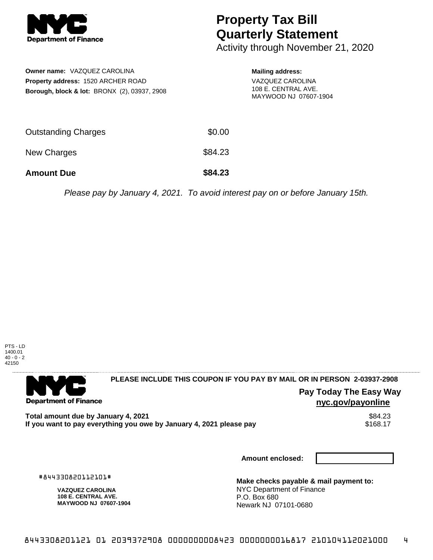

## **Property Tax Bill Quarterly Statement**

Activity through November 21, 2020

| <b>Owner name: VAZQUEZ CAROLINA</b><br><b>Property address: 1520 ARCHER ROAD</b><br>Borough, block & lot: BRONX (2), 03937, 2908 |         | <b>Mailing address:</b><br>VAZQUEZ CAROLINA<br>108 E. CENTRAL AVE.<br>MAYWOOD NJ 07607-1904 |
|----------------------------------------------------------------------------------------------------------------------------------|---------|---------------------------------------------------------------------------------------------|
| Outstanding Charges                                                                                                              | \$0.00  |                                                                                             |
| <b>New Charges</b>                                                                                                               | \$84.23 |                                                                                             |
| <b>Amount Due</b>                                                                                                                | \$84.23 |                                                                                             |

Please pay by January 4, 2021. To avoid interest pay on or before January 15th.



. . . . . . . . . . . . . . . .

## **PLEASE INCLUDE THIS COUPON IF YOU PAY BY MAIL OR IN PERSON 2-03937-2908**

**Pay Today The Easy Way nyc.gov/payonline**

Total amount due by January 4, 2021<br>If you want to pay everything you owe by January 4, 2021 please pay \$168.17 If you want to pay everything you owe by January 4, 2021 please pay

**Amount enclosed:**

#844330820112101#

**Department of Finance** 

**VAZQUEZ CAROLINA 108 E. CENTRAL AVE. MAYWOOD NJ 07607-1904**

**Make checks payable & mail payment to:** NYC Department of Finance P.O. Box 680 Newark NJ 07101-0680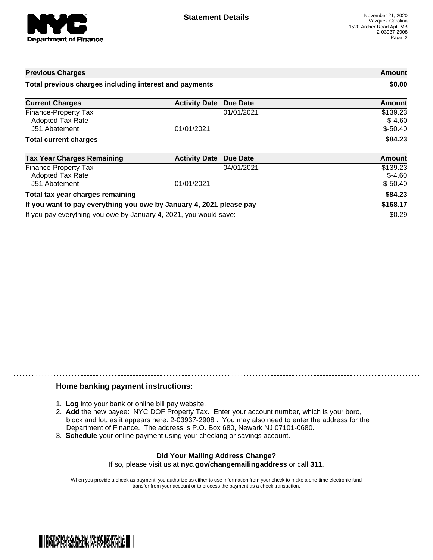

| <b>Previous Charges</b>                                             |                      |                 | Amount                             |
|---------------------------------------------------------------------|----------------------|-----------------|------------------------------------|
| Total previous charges including interest and payments              |                      |                 | \$0.00                             |
| <b>Current Charges</b>                                              | <b>Activity Date</b> | <b>Due Date</b> | Amount                             |
| Finance-Property Tax<br>Adopted Tax Rate<br>J51 Abatement           | 01/01/2021           | 01/01/2021      | \$139.23<br>$$-4.60$<br>$$-50.40$  |
| <b>Total current charges</b>                                        |                      |                 | \$84.23                            |
| <b>Tax Year Charges Remaining</b>                                   | <b>Activity Date</b> | <b>Due Date</b> | <b>Amount</b>                      |
| Finance-Property Tax<br><b>Adopted Tax Rate</b><br>J51 Abatement    | 01/01/2021           | 04/01/2021      | \$139.23<br>$$-4.60$<br>$$ -50.40$ |
| Total tax year charges remaining                                    |                      |                 | \$84.23                            |
| If you want to pay everything you owe by January 4, 2021 please pay |                      |                 | \$168.17                           |
| If you pay everything you owe by January 4, 2021, you would save:   |                      |                 | \$0.29                             |

## **Home banking payment instructions:**

- 1. **Log** into your bank or online bill pay website.
- 2. **Add** the new payee: NYC DOF Property Tax. Enter your account number, which is your boro, block and lot, as it appears here: 2-03937-2908 . You may also need to enter the address for the Department of Finance. The address is P.O. Box 680, Newark NJ 07101-0680.
- 3. **Schedule** your online payment using your checking or savings account.

## **Did Your Mailing Address Change?** If so, please visit us at **nyc.gov/changemailingaddress** or call **311.**

When you provide a check as payment, you authorize us either to use information from your check to make a one-time electronic fund transfer from your account or to process the payment as a check transaction.